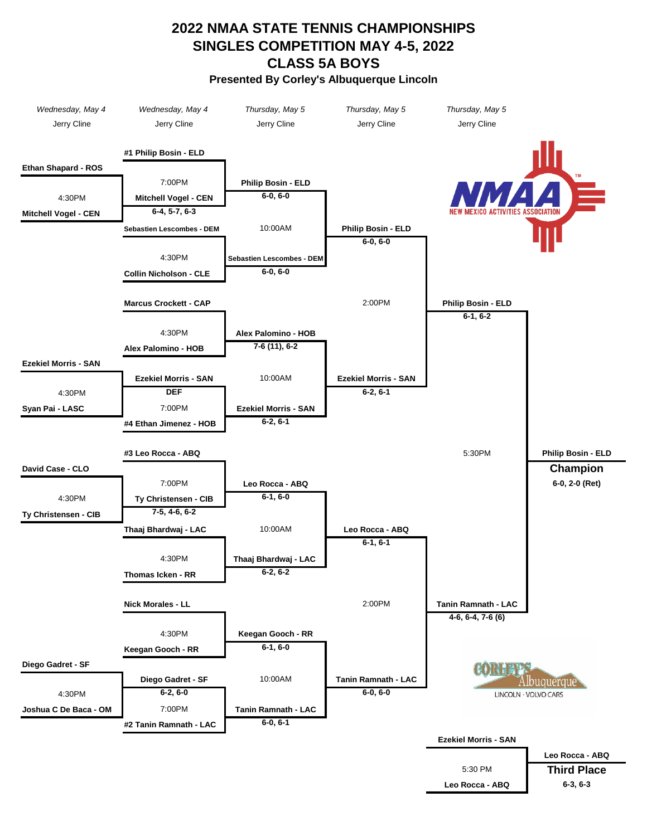## **Presented By Corley's Albuquerque Lincoln 2022 NMAA STATE TENNIS CHAMPIONSHIPS SINGLES COMPETITION MAY 4-5, 2022 CLASS 5A BOYS**

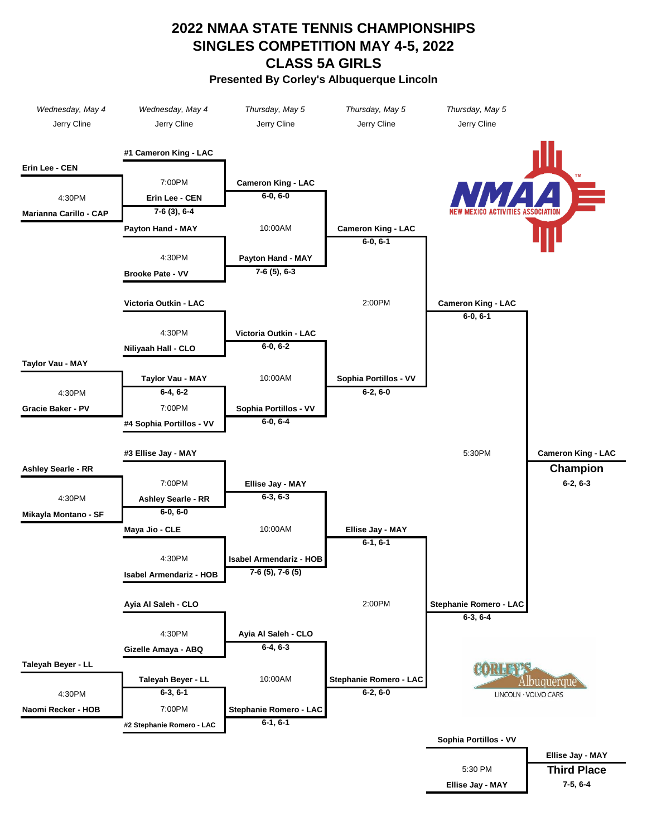## **2022 NMAA STATE TENNIS CHAMPIONSHIPS SINGLES COMPETITION MAY 4-5, 2022 CLASS 5A GIRLS Presented By Corley's Albuquerque Lincoln**

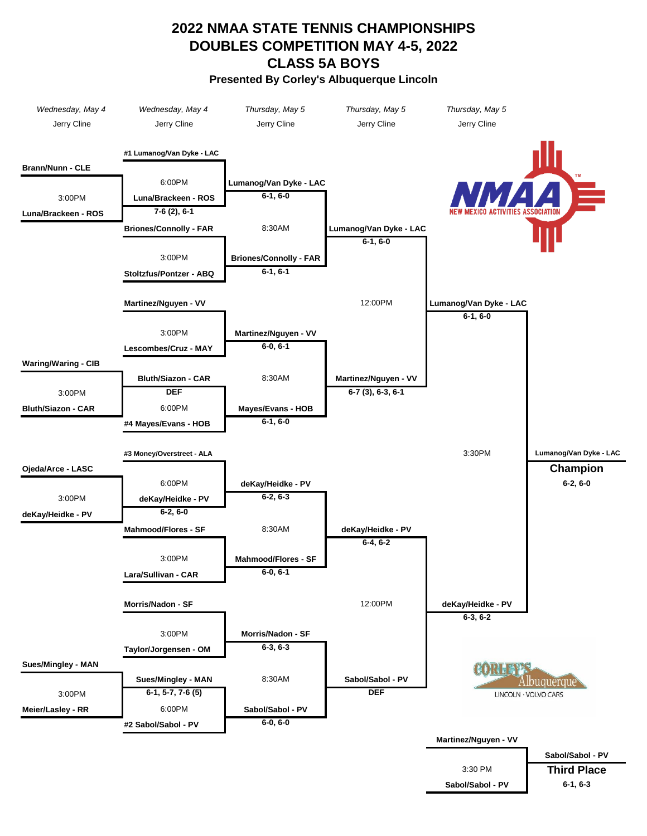## **Presented By Corley's Albuquerque Lincoln DOUBLES COMPETITION MAY 4-5, 2022 CLASS 5A BOYS 2022 NMAA STATE TENNIS CHAMPIONSHIPS**